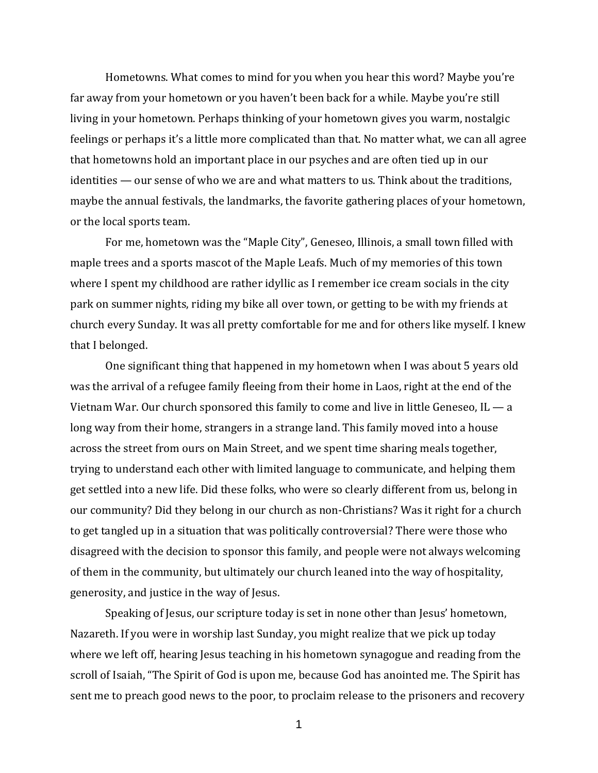Hometowns. What comes to mind for you when you hear this word? Maybe you're far away from your hometown or you haven't been back for a while. Maybe you're still living in your hometown. Perhaps thinking of your hometown gives you warm, nostalgic feelings or perhaps it's a little more complicated than that. No matter what, we can all agree that hometowns hold an important place in our psyches and are often tied up in our identities — our sense of who we are and what matters to us. Think about the traditions, maybe the annual festivals, the landmarks, the favorite gathering places of your hometown, or the local sports team.

For me, hometown was the "Maple City", Geneseo, Illinois, a small town filled with maple trees and a sports mascot of the Maple Leafs. Much of my memories of this town where I spent my childhood are rather idyllic as I remember ice cream socials in the city park on summer nights, riding my bike all over town, or getting to be with my friends at church every Sunday. It was all pretty comfortable for me and for others like myself. I knew that I belonged.

One significant thing that happened in my hometown when I was about 5 years old was the arrival of a refugee family fleeing from their home in Laos, right at the end of the Vietnam War. Our church sponsored this family to come and live in little Geneseo, IL — a long way from their home, strangers in a strange land. This family moved into a house across the street from ours on Main Street, and we spent time sharing meals together, trying to understand each other with limited language to communicate, and helping them get settled into a new life. Did these folks, who were so clearly different from us, belong in our community? Did they belong in our church as non-Christians? Was it right for a church to get tangled up in a situation that was politically controversial? There were those who disagreed with the decision to sponsor this family, and people were not always welcoming of them in the community, but ultimately our church leaned into the way of hospitality, generosity, and justice in the way of Jesus.

Speaking of Jesus, our scripture today is set in none other than Jesus' hometown, Nazareth. If you were in worship last Sunday, you might realize that we pick up today where we left off, hearing Jesus teaching in his hometown synagogue and reading from the scroll of Isaiah, "The Spirit of God is upon me, because God has anointed me. The Spirit has sent me to preach good news to the poor, to proclaim release to the prisoners and recovery

1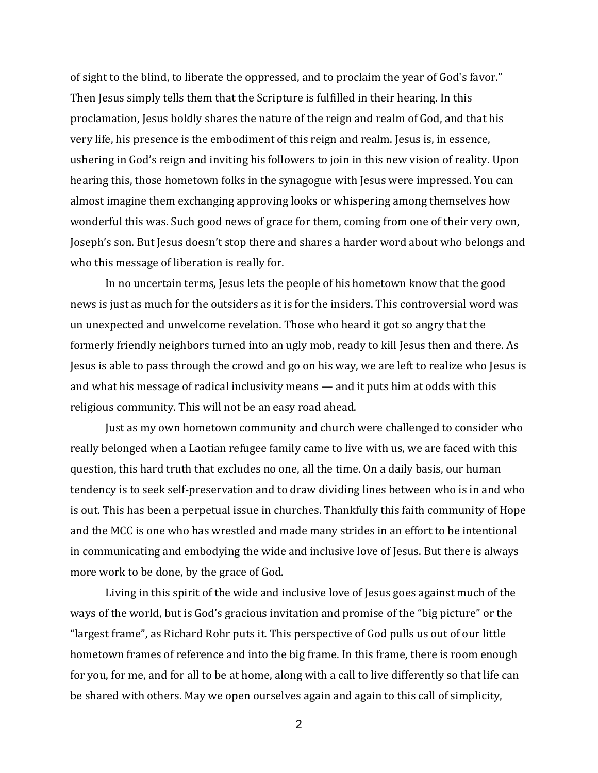of sight to the blind, to liberate the oppressed, and to proclaim the year of God's favor." Then Jesus simply tells them that the Scripture is fulfilled in their hearing. In this proclamation, Jesus boldly shares the nature of the reign and realm of God, and that his very life, his presence is the embodiment of this reign and realm. Jesus is, in essence, ushering in God's reign and inviting his followers to join in this new vision of reality. Upon hearing this, those hometown folks in the synagogue with Jesus were impressed. You can almost imagine them exchanging approving looks or whispering among themselves how wonderful this was. Such good news of grace for them, coming from one of their very own, Joseph's son. But Jesus doesn't stop there and shares a harder word about who belongs and who this message of liberation is really for.

In no uncertain terms, Jesus lets the people of his hometown know that the good news is just as much for the outsiders as it is for the insiders. This controversial word was un unexpected and unwelcome revelation. Those who heard it got so angry that the formerly friendly neighbors turned into an ugly mob, ready to kill Jesus then and there. As Jesus is able to pass through the crowd and go on his way, we are left to realize who Jesus is and what his message of radical inclusivity means — and it puts him at odds with this religious community. This will not be an easy road ahead.

Just as my own hometown community and church were challenged to consider who really belonged when a Laotian refugee family came to live with us, we are faced with this question, this hard truth that excludes no one, all the time. On a daily basis, our human tendency is to seek self-preservation and to draw dividing lines between who is in and who is out. This has been a perpetual issue in churches. Thankfully this faith community of Hope and the MCC is one who has wrestled and made many strides in an effort to be intentional in communicating and embodying the wide and inclusive love of Jesus. But there is always more work to be done, by the grace of God.

Living in this spirit of the wide and inclusive love of Jesus goes against much of the ways of the world, but is God's gracious invitation and promise of the "big picture" or the "largest frame", as Richard Rohr puts it. This perspective of God pulls us out of our little hometown frames of reference and into the big frame. In this frame, there is room enough for you, for me, and for all to be at home, along with a call to live differently so that life can be shared with others. May we open ourselves again and again to this call of simplicity,

2